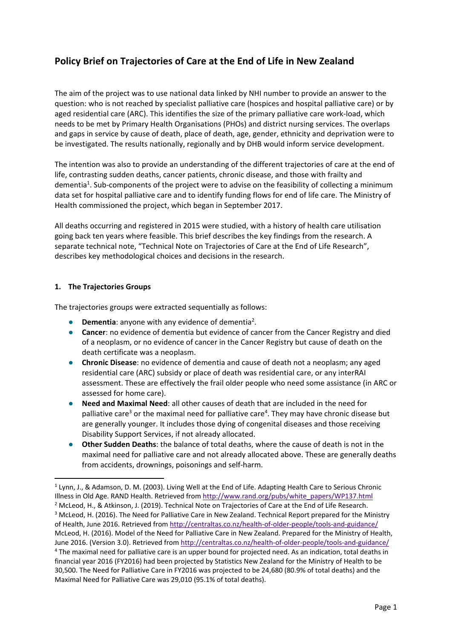# **Policy Brief on Trajectories of Care at the End of Life in New Zealand**

The aim of the project was to use national data linked by NHI number to provide an answer to the question: who is not reached by specialist palliative care (hospices and hospital palliative care) or by aged residential care (ARC). This identifies the size of the primary palliative care work-load, which needs to be met by Primary Health Organisations (PHOs) and district nursing services. The overlaps and gaps in service by cause of death, place of death, age, gender, ethnicity and deprivation were to be investigated. The results nationally, regionally and by DHB would inform service development.

The intention was also to provide an understanding of the different trajectories of care at the end of life, contrasting sudden deaths, cancer patients, chronic disease, and those with frailty and dementia<sup>1</sup>. Sub-components of the project were to advise on the feasibility of collecting a minimum data set for hospital palliative care and to identify funding flows for end of life care. The Ministry of Health commissioned the project, which began in September 2017.

All deaths occurring and registered in 2015 were studied, with a history of health care utilisation going back ten years where feasible. This brief describes the key findings from the research. A separate technical note, "Technical Note on Trajectories of Care at the End of Life Research", describes key methodological choices and decisions in the research.

#### **1. The Trajectories Groups**

The trajectories groups were extracted sequentially as follows:

- **Dementia**: anyone with any evidence of dementia<sup>2</sup>.
- **Cancer:** no evidence of dementia but evidence of cancer from the Cancer Registry and died of a neoplasm, or no evidence of cancer in the Cancer Registry but cause of death on the death certificate was a neoplasm.
- **Chronic Disease**: no evidence of dementia and cause of death not a neoplasm; any aged residential care (ARC) subsidy or place of death was residential care, or any interRAI assessment. These are effectively the frail older people who need some assistance (in ARC or assessed for home care).
- **Need and Maximal Need**: all other causes of death that are included in the need for palliative care<sup>3</sup> or the maximal need for palliative care<sup>4</sup>. They may have chronic disease but are generally younger. It includes those dying of congenital diseases and those receiving Disability Support Services, if not already allocated.
- **Other Sudden Deaths**: the balance of total deaths, where the cause of death is not in the maximal need for palliative care and not already allocated above. These are generally deaths from accidents, drownings, poisonings and self‐harm.

<sup>&</sup>lt;sup>1</sup> Lynn, J., & Adamson, D. M. (2003). Living Well at the End of Life. Adapting Health Care to Serious Chronic Illness in Old Age. RAND Health. Retrieved from http://www.rand.org/pubs/white\_papers/WP137.html <sup>2</sup> McLeod, H., & Atkinson, J. (2019). Technical Note on Trajectories of Care at the End of Life Research. <sup>3</sup> McLeod, H. (2016). The Need for Palliative Care in New Zealand. Technical Report prepared for the Ministry of Health, June 2016. Retrieved from http://centraltas.co.nz/health‐of‐older‐people/tools‐and‐guidance/ McLeod, H. (2016). Model of the Need for Palliative Care in New Zealand. Prepared for the Ministry of Health, June 2016. (Version 3.0). Retrieved from http://centraltas.co.nz/health‐of‐older‐people/tools‐and‐guidance/ <sup>4</sup> The maximal need for palliative care is an upper bound for projected need. As an indication, total deaths in financial year 2016 (FY2016) had been projected by Statistics New Zealand for the Ministry of Health to be 30,500. The Need for Palliative Care in FY2016 was projected to be 24,680 (80.9% of total deaths) and the Maximal Need for Palliative Care was 29,010 (95.1% of total deaths).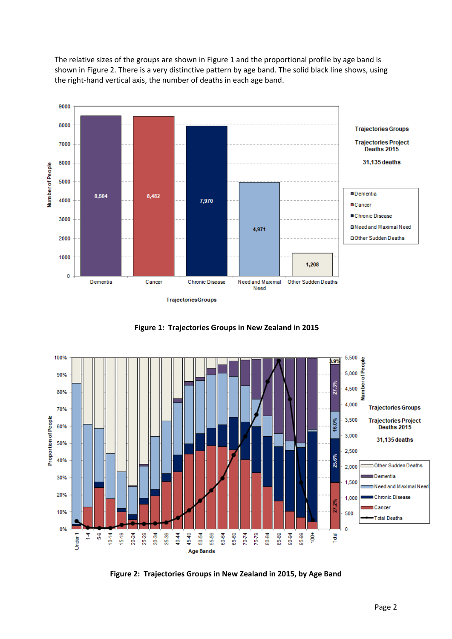The relative sizes of the groups are shown in Figure 1 and the proportional profile by age band is shown in Figure 2. There is a very distinctive pattern by age band. The solid black line shows, using the right-hand vertical axis, the number of deaths in each age band.







**Figure 2: Trajectories Groups in New Zealand in 2015, by Age Band**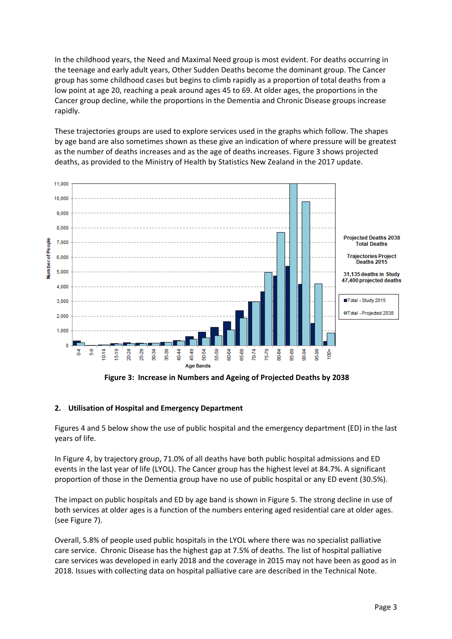In the childhood years, the Need and Maximal Need group is most evident. For deaths occurring in the teenage and early adult years, Other Sudden Deaths become the dominant group. The Cancer group has some childhood cases but begins to climb rapidly as a proportion of total deaths from a low point at age 20, reaching a peak around ages 45 to 69. At older ages, the proportions in the Cancer group decline, while the proportions in the Dementia and Chronic Disease groups increase rapidly.

These trajectories groups are used to explore services used in the graphs which follow. The shapes by age band are also sometimes shown as these give an indication of where pressure will be greatest as the number of deaths increases and as the age of deaths increases. Figure 3 shows projected deaths, as provided to the Ministry of Health by Statistics New Zealand in the 2017 update.



 **Figure 3: Increase in Numbers and Ageing of Projected Deaths by 2038** 

# **2. Utilisation of Hospital and Emergency Department**

Figures 4 and 5 below show the use of public hospital and the emergency department (ED) in the last years of life.

In Figure 4, by trajectory group, 71.0% of all deaths have both public hospital admissions and ED events in the last year of life (LYOL). The Cancer group has the highest level at 84.7%. A significant proportion of those in the Dementia group have no use of public hospital or any ED event (30.5%).

The impact on public hospitals and ED by age band is shown in Figure 5. The strong decline in use of both services at older ages is a function of the numbers entering aged residential care at older ages. (see Figure 7).

Overall, 5.8% of people used public hospitals in the LYOL where there was no specialist palliative care service. Chronic Disease has the highest gap at 7.5% of deaths. The list of hospital palliative care services was developed in early 2018 and the coverage in 2015 may not have been as good as in 2018. Issues with collecting data on hospital palliative care are described in the Technical Note.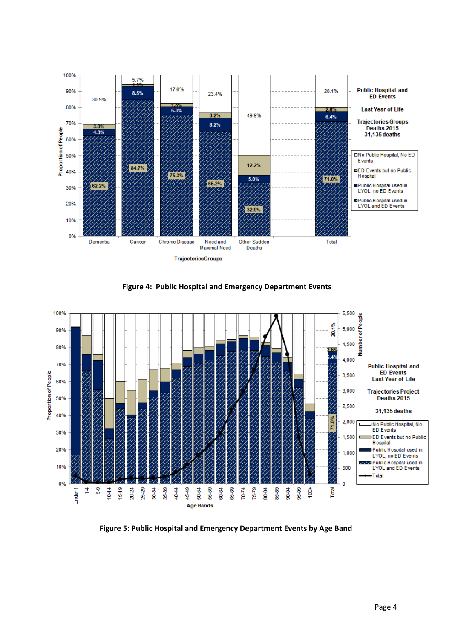

 **Figure 4: Public Hospital and Emergency Department Events** 



**Figure 5: Public Hospital and Emergency Department Events by Age Band**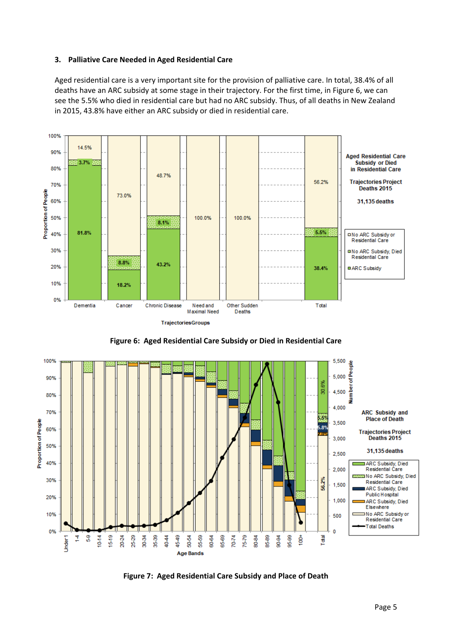#### **3. Palliative Care Needed in Aged Residential Care**

Aged residential care is a very important site for the provision of palliative care. In total, 38.4% of all deaths have an ARC subsidy at some stage in their trajectory. For the first time, in Figure 6, we can see the 5.5% who died in residential care but had no ARC subsidy. Thus, of all deaths in New Zealand in 2015, 43.8% have either an ARC subsidy or died in residential care.





**Figure 6: Aged Residential Care Subsidy or Died in Residential Care** 

**Figure 7: Aged Residential Care Subsidy and Place of Death**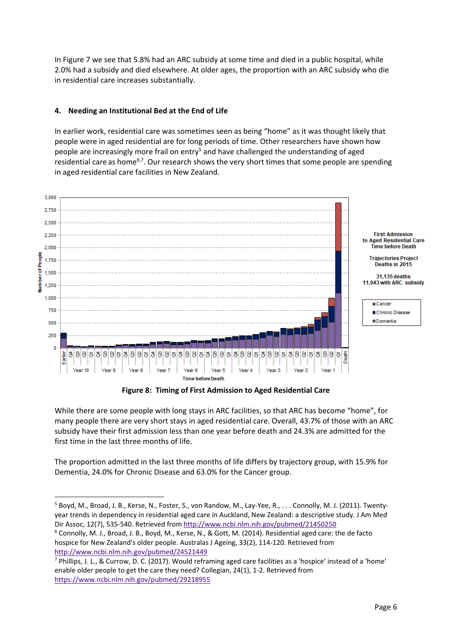In Figure 7 we see that 5.8% had an ARC subsidy at some time and died in a public hospital, while 2.0% had a subsidy and died elsewhere. At older ages, the proportion with an ARC subsidy who die in residential care increases substantially.

# **4. Needing an Institutional Bed at the End of Life**

In earlier work, residential care was sometimes seen as being "home" as it was thought likely that people were in aged residential are for long periods of time. Other researchers have shown how people are increasingly more frail on entry<sup>5</sup> and have challenged the understanding of aged residential care as home<sup>6,7</sup>. Our research shows the very short times that some people are spending in aged residential care facilities in New Zealand.



**Figure 8: Timing of First Admission to Aged Residential Care** 

While there are some people with long stays in ARC facilities, so that ARC has become "home", for many people there are very short stays in aged residential care. Overall, 43.7% of those with an ARC subsidy have their first admission less than one year before death and 24.3% are admitted for the first time in the last three months of life.

The proportion admitted in the last three months of life differs by trajectory group, with 15.9% for Dementia, 24.0% for Chronic Disease and 63.0% for the Cancer group.

<sup>5</sup> Boyd, M., Broad, J. B., Kerse, N., Foster, S., von Randow, M., Lay‐Yee, R., . . . Connolly, M. J. (2011). Twenty‐ year trends in dependency in residential aged care in Auckland, New Zealand: a descriptive study. J Am Med Dir Assoc, 12(7), 535‐540. Retrieved from http://www.ncbi.nlm.nih.gov/pubmed/21450250

<sup>6</sup> Connolly, M. J., Broad, J. B., Boyd, M., Kerse, N., & Gott, M. (2014). Residential aged care: the de facto hospice for New Zealand's older people. Australas J Ageing, 33(2), 114‐120. Retrieved from http://www.ncbi.nlm.nih.gov/pubmed/24521449

<sup>7</sup> Phillips, J. L., & Currow, D. C. (2017). Would reframing aged care facilities as a 'hospice' instead of a 'home' enable older people to get the care they need? Collegian, 24(1), 1‐2. Retrieved from https://www.ncbi.nlm.nih.gov/pubmed/29218955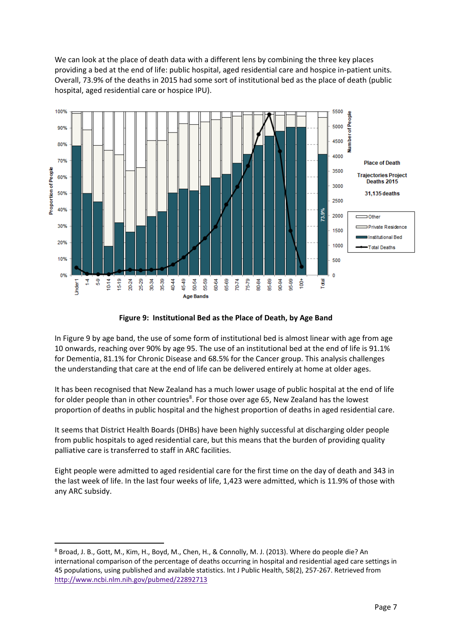We can look at the place of death data with a different lens by combining the three key places providing a bed at the end of life: public hospital, aged residential care and hospice in‐patient units. Overall, 73.9% of the deaths in 2015 had some sort of institutional bed as the place of death (public hospital, aged residential care or hospice IPU).



**Figure 9: Institutional Bed as the Place of Death, by Age Band**

In Figure 9 by age band, the use of some form of institutional bed is almost linear with age from age 10 onwards, reaching over 90% by age 95. The use of an institutional bed at the end of life is 91.1% for Dementia, 81.1% for Chronic Disease and 68.5% for the Cancer group. This analysis challenges the understanding that care at the end of life can be delivered entirely at home at older ages.

It has been recognised that New Zealand has a much lower usage of public hospital at the end of life for older people than in other countries<sup>8</sup>. For those over age 65, New Zealand has the lowest proportion of deaths in public hospital and the highest proportion of deaths in aged residential care.

It seems that District Health Boards (DHBs) have been highly successful at discharging older people from public hospitals to aged residential care, but this means that the burden of providing quality palliative care is transferred to staff in ARC facilities.

Eight people were admitted to aged residential care for the first time on the day of death and 343 in the last week of life. In the last four weeks of life, 1,423 were admitted, which is 11.9% of those with any ARC subsidy.

<sup>8</sup> Broad, J. B., Gott, M., Kim, H., Boyd, M., Chen, H., & Connolly, M. J. (2013). Where do people die? An international comparison of the percentage of deaths occurring in hospital and residential aged care settings in 45 populations, using published and available statistics. Int J Public Health, 58(2), 257‐267. Retrieved from http://www.ncbi.nlm.nih.gov/pubmed/22892713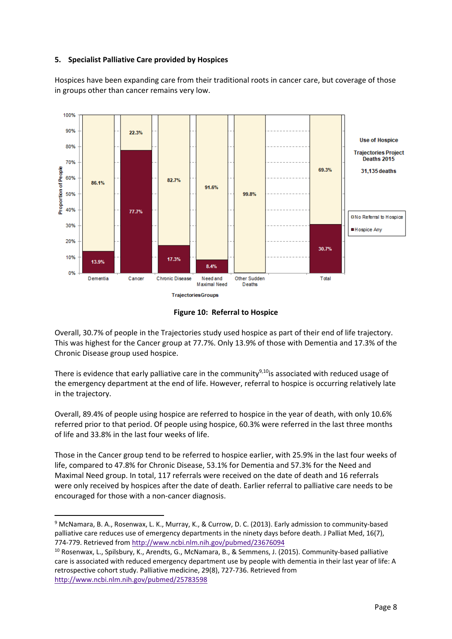#### **5. Specialist Palliative Care provided by Hospices**

Hospices have been expanding care from their traditional roots in cancer care, but coverage of those in groups other than cancer remains very low.



**Figure 10: Referral to Hospice** 

Overall, 30.7% of people in the Trajectories study used hospice as part of their end of life trajectory. This was highest for the Cancer group at 77.7%. Only 13.9% of those with Dementia and 17.3% of the Chronic Disease group used hospice.

There is evidence that early palliative care in the community $9,10$  is associated with reduced usage of the emergency department at the end of life. However, referral to hospice is occurring relatively late in the trajectory.

Overall, 89.4% of people using hospice are referred to hospice in the year of death, with only 10.6% referred prior to that period. Of people using hospice, 60.3% were referred in the last three months of life and 33.8% in the last four weeks of life.

Those in the Cancer group tend to be referred to hospice earlier, with 25.9% in the last four weeks of life, compared to 47.8% for Chronic Disease, 53.1% for Dementia and 57.3% for the Need and Maximal Need group. In total, 117 referrals were received on the date of death and 16 referrals were only received by hospices after the date of death. Earlier referral to palliative care needs to be encouraged for those with a non‐cancer diagnosis.

<sup>9</sup> McNamara, B. A., Rosenwax, L. K., Murray, K., & Currow, D. C. (2013). Early admission to community‐based palliative care reduces use of emergency departments in the ninety days before death. J Palliat Med, 16(7), 774‐779. Retrieved from http://www.ncbi.nlm.nih.gov/pubmed/23676094

<sup>10</sup> Rosenwax, L., Spilsbury, K., Arendts, G., McNamara, B., & Semmens, J. (2015). Community‐based palliative care is associated with reduced emergency department use by people with dementia in their last year of life: A retrospective cohort study. Palliative medicine, 29(8), 727‐736. Retrieved from http://www.ncbi.nlm.nih.gov/pubmed/25783598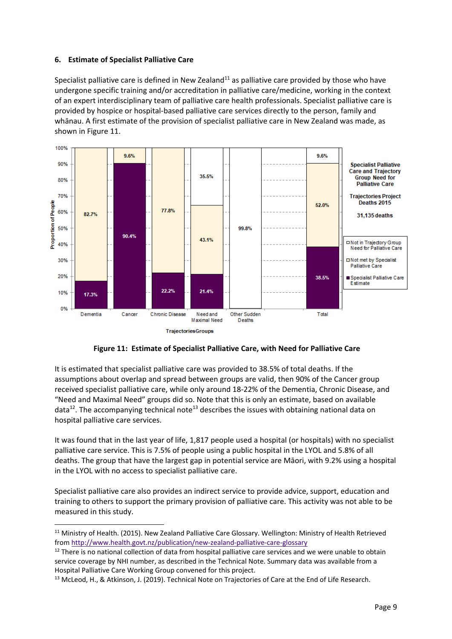#### **6. Estimate of Specialist Palliative Care**

Specialist palliative care is defined in New Zealand<sup>11</sup> as palliative care provided by those who have undergone specific training and/or accreditation in palliative care/medicine, working in the context of an expert interdisciplinary team of palliative care health professionals. Specialist palliative care is provided by hospice or hospital‐based palliative care services directly to the person, family and whānau. A first estimate of the provision of specialist palliative care in New Zealand was made, as shown in Figure 11.



# **Figure 11: Estimate of Specialist Palliative Care, with Need for Palliative Care**

It is estimated that specialist palliative care was provided to 38.5% of total deaths. If the assumptions about overlap and spread between groups are valid, then 90% of the Cancer group received specialist palliative care, while only around 18‐22% of the Dementia, Chronic Disease, and "Need and Maximal Need" groups did so. Note that this is only an estimate, based on available data<sup>12</sup>. The accompanying technical note<sup>13</sup> describes the issues with obtaining national data on hospital palliative care services.

It was found that in the last year of life, 1,817 people used a hospital (or hospitals) with no specialist palliative care service. This is 7.5% of people using a public hospital in the LYOL and 5.8% of all deaths. The group that have the largest gap in potential service are Māori, with 9.2% using a hospital in the LYOL with no access to specialist palliative care.

Specialist palliative care also provides an indirect service to provide advice, support, education and training to others to support the primary provision of palliative care. This activity was not able to be measured in this study.

<sup>&</sup>lt;sup>11</sup> Ministry of Health. (2015). New Zealand Palliative Care Glossary. Wellington: Ministry of Health Retrieved from http://www.health.govt.nz/publication/new‐zealand‐palliative‐care‐glossary

 $12$  There is no national collection of data from hospital palliative care services and we were unable to obtain service coverage by NHI number, as described in the Technical Note. Summary data was available from a Hospital Palliative Care Working Group convened for this project.

<sup>&</sup>lt;sup>13</sup> McLeod, H., & Atkinson, J. (2019). Technical Note on Trajectories of Care at the End of Life Research.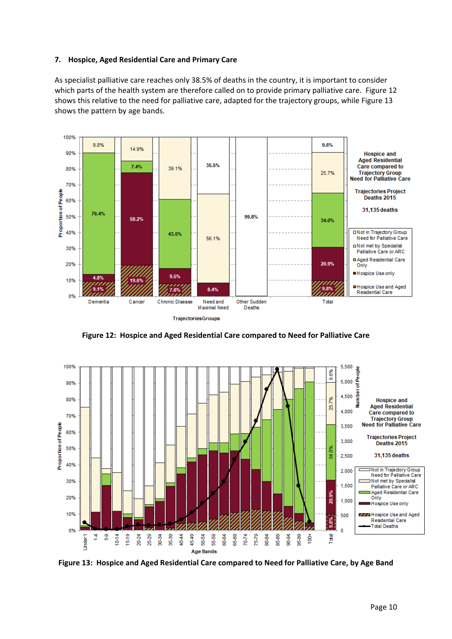#### **7. Hospice, Aged Residential Care and Primary Care**

As specialist palliative care reaches only 38.5% of deaths in the country, it is important to consider which parts of the health system are therefore called on to provide primary palliative care. Figure 12 shows this relative to the need for palliative care, adapted for the trajectory groups, while Figure 13 shows the pattern by age bands.



**Figure 12: Hospice and Aged Residential Care compared to Need for Palliative Care** 



**Figure 13: Hospice and Aged Residential Care compared to Need for Palliative Care, by Age Band**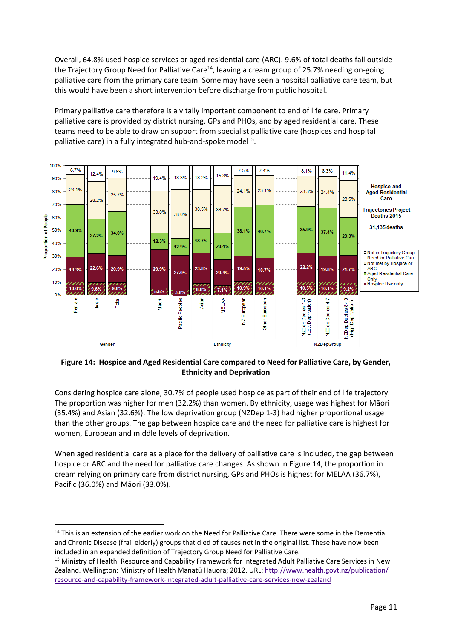Overall, 64.8% used hospice services or aged residential care (ARC). 9.6% of total deaths fall outside the Trajectory Group Need for Palliative Care<sup>14</sup>, leaving a cream group of 25.7% needing on-going palliative care from the primary care team. Some may have seen a hospital palliative care team, but this would have been a short intervention before discharge from public hospital.

Primary palliative care therefore is a vitally important component to end of life care. Primary palliative care is provided by district nursing, GPs and PHOs, and by aged residential care. These teams need to be able to draw on support from specialist palliative care (hospices and hospital palliative care) in a fully integrated hub-and-spoke model<sup>15</sup>.



# **Figure 14: Hospice and Aged Residential Care compared to Need for Palliative Care, by Gender, Ethnicity and Deprivation**

Considering hospice care alone, 30.7% of people used hospice as part of their end of life trajectory. The proportion was higher for men (32.2%) than women. By ethnicity, usage was highest for Māori (35.4%) and Asian (32.6%). The low deprivation group (NZDep 1‐3) had higher proportional usage than the other groups. The gap between hospice care and the need for palliative care is highest for women, European and middle levels of deprivation.

When aged residential care as a place for the delivery of palliative care is included, the gap between hospice or ARC and the need for palliative care changes. As shown in Figure 14, the proportion in cream relying on primary care from district nursing, GPs and PHOs is highest for MELAA (36.7%), Pacific (36.0%) and Māori (33.0%).

<sup>&</sup>lt;sup>14</sup> This is an extension of the earlier work on the Need for Palliative Care. There were some in the Dementia and Chronic Disease (frail elderly) groups that died of causes not in the original list. These have now been included in an expanded definition of Trajectory Group Need for Palliative Care.

<sup>15</sup> Ministry of Health. Resource and Capability Framework for Integrated Adult Palliative Care Services in New Zealand. Wellington: Ministry of Health Manatū Hauora; 2012. URL: http://www.health.govt.nz/publication/ resource‐and‐capability‐framework‐integrated‐adult‐palliative‐care‐services‐new‐zealand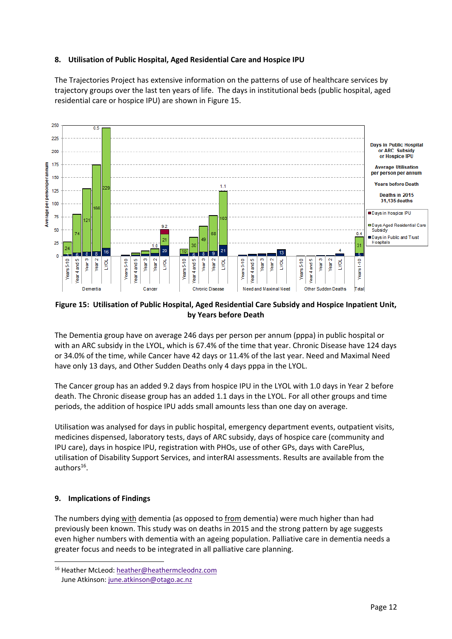# **8. Utilisation of Public Hospital, Aged Residential Care and Hospice IPU**

The Trajectories Project has extensive information on the patterns of use of healthcare services by trajectory groups over the last ten years of life. The days in institutional beds (public hospital, aged residential care or hospice IPU) are shown in Figure 15.



# **Figure 15: Utilisation of Public Hospital, Aged Residential Care Subsidy and Hospice Inpatient Unit, by Years before Death**

The Dementia group have on average 246 days per person per annum (pppa) in public hospital or with an ARC subsidy in the LYOL, which is 67.4% of the time that year. Chronic Disease have 124 days or 34.0% of the time, while Cancer have 42 days or 11.4% of the last year. Need and Maximal Need have only 13 days, and Other Sudden Deaths only 4 days pppa in the LYOL.

The Cancer group has an added 9.2 days from hospice IPU in the LYOL with 1.0 days in Year 2 before death. The Chronic disease group has an added 1.1 days in the LYOL. For all other groups and time periods, the addition of hospice IPU adds small amounts less than one day on average.

Utilisation was analysed for days in public hospital, emergency department events, outpatient visits, medicines dispensed, laboratory tests, days of ARC subsidy, days of hospice care (community and IPU care), days in hospice IPU, registration with PHOs, use of other GPs, days with CarePlus, utilisation of Disability Support Services, and interRAI assessments. Results are available from the authors $16$ .

# **9. Implications of Findings**

The numbers dying with dementia (as opposed to from dementia) were much higher than had previously been known. This study was on deaths in 2015 and the strong pattern by age suggests even higher numbers with dementia with an ageing population. Palliative care in dementia needs a greater focus and needs to be integrated in all palliative care planning.

<sup>16</sup> Heather McLeod: heather@heathermcleodnz.com June Atkinson: june.atkinson@otago.ac.nz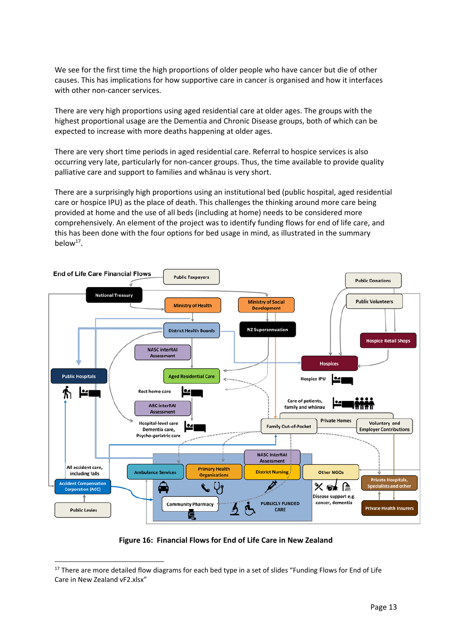We see for the first time the high proportions of older people who have cancer but die of other causes. This has implications for how supportive care in cancer is organised and how it interfaces with other non-cancer services.

There are very high proportions using aged residential care at older ages. The groups with the highest proportional usage are the Dementia and Chronic Disease groups, both of which can be expected to increase with more deaths happening at older ages.

There are very short time periods in aged residential care. Referral to hospice services is also occurring very late, particularly for non-cancer groups. Thus, the time available to provide quality palliative care and support to families and whānau is very short.

There are a surprisingly high proportions using an institutional bed (public hospital, aged residential care or hospice IPU) as the place of death. This challenges the thinking around more care being provided at home and the use of all beds (including at home) needs to be considered more comprehensively. An element of the project was to identify funding flows for end of life care, and this has been done with the four options for bed usage in mind, as illustrated in the summary below $17$ .



**Figure 16: Financial Flows for End of Life Care in New Zealand**

<sup>&</sup>lt;sup>17</sup> There are more detailed flow diagrams for each bed type in a set of slides "Funding Flows for End of Life Care in New Zealand vF2.xlsx"